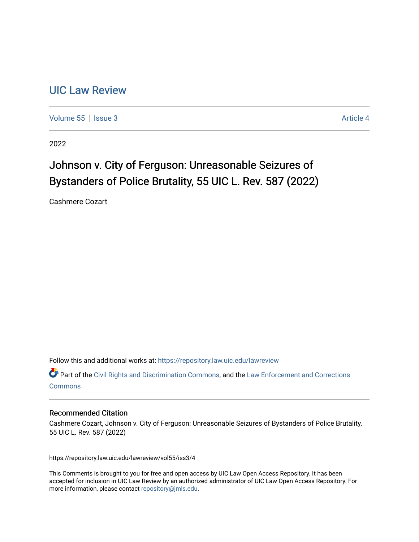# [UIC Law Review](https://repository.law.uic.edu/lawreview)

[Volume 55](https://repository.law.uic.edu/lawreview/vol55) | [Issue 3](https://repository.law.uic.edu/lawreview/vol55/iss3) Article 4

2022

# Johnson v. City of Ferguson: Unreasonable Seizures of Bystanders of Police Brutality, 55 UIC L. Rev. 587 (2022)

Cashmere Cozart

Follow this and additional works at: [https://repository.law.uic.edu/lawreview](https://repository.law.uic.edu/lawreview?utm_source=repository.law.uic.edu%2Flawreview%2Fvol55%2Fiss3%2F4&utm_medium=PDF&utm_campaign=PDFCoverPages) 

Part of the [Civil Rights and Discrimination Commons,](https://network.bepress.com/hgg/discipline/585?utm_source=repository.law.uic.edu%2Flawreview%2Fvol55%2Fiss3%2F4&utm_medium=PDF&utm_campaign=PDFCoverPages) and the [Law Enforcement and Corrections](https://network.bepress.com/hgg/discipline/854?utm_source=repository.law.uic.edu%2Flawreview%2Fvol55%2Fiss3%2F4&utm_medium=PDF&utm_campaign=PDFCoverPages)  [Commons](https://network.bepress.com/hgg/discipline/854?utm_source=repository.law.uic.edu%2Flawreview%2Fvol55%2Fiss3%2F4&utm_medium=PDF&utm_campaign=PDFCoverPages)

#### Recommended Citation

Cashmere Cozart, Johnson v. City of Ferguson: Unreasonable Seizures of Bystanders of Police Brutality, 55 UIC L. Rev. 587 (2022)

https://repository.law.uic.edu/lawreview/vol55/iss3/4

This Comments is brought to you for free and open access by UIC Law Open Access Repository. It has been accepted for inclusion in UIC Law Review by an authorized administrator of UIC Law Open Access Repository. For more information, please contact [repository@jmls.edu.](mailto:repository@jmls.edu)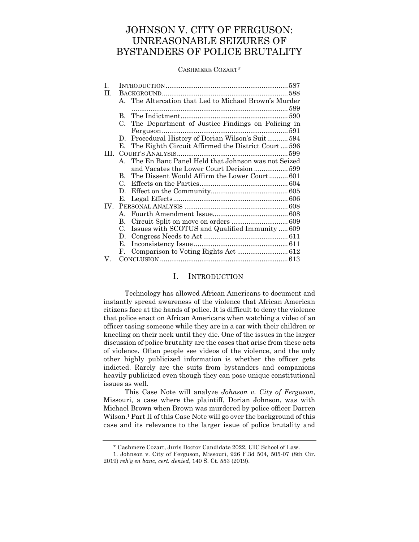# JOHNSON V. CITY OF FERGUSON: UNREASONABLE SEIZURES OF BYSTANDERS OF POLICE BRUTALITY

#### CASHMERE COZART\*

| B.          |                                                    |                                                                                                                                                                                                                    |
|-------------|----------------------------------------------------|--------------------------------------------------------------------------------------------------------------------------------------------------------------------------------------------------------------------|
| C.          | The Department of Justice Findings on Policing in  |                                                                                                                                                                                                                    |
|             |                                                    |                                                                                                                                                                                                                    |
| D.          |                                                    |                                                                                                                                                                                                                    |
| Е.          | The Eighth Circuit Affirmed the District Court 596 |                                                                                                                                                                                                                    |
|             |                                                    |                                                                                                                                                                                                                    |
|             |                                                    |                                                                                                                                                                                                                    |
|             | and Vacates the Lower Court Decision 599           |                                                                                                                                                                                                                    |
| B.          | The Dissent Would Affirm the Lower Court601        |                                                                                                                                                                                                                    |
| C.          |                                                    |                                                                                                                                                                                                                    |
| D.          |                                                    |                                                                                                                                                                                                                    |
| Е.          |                                                    |                                                                                                                                                                                                                    |
|             |                                                    |                                                                                                                                                                                                                    |
| $A_{-}$     |                                                    |                                                                                                                                                                                                                    |
| В.          |                                                    |                                                                                                                                                                                                                    |
| $C_{\cdot}$ |                                                    |                                                                                                                                                                                                                    |
| D.          |                                                    |                                                                                                                                                                                                                    |
| Е.          |                                                    |                                                                                                                                                                                                                    |
| F.          |                                                    |                                                                                                                                                                                                                    |
|             |                                                    |                                                                                                                                                                                                                    |
|             |                                                    | A. The Altercation that Led to Michael Brown's Murder<br>Procedural History of Dorian Wilson's Suit 594<br>A. The En Banc Panel Held that Johnson was not Seized<br>Issues with SCOTUS and Qualified Immunity  609 |

## I. INTRODUCTION

<span id="page-1-0"></span>Technology has allowed African Americans to document and instantly spread awareness of the violence that African American citizens face at the hands of police. It is difficult to deny the violence that police enact on African Americans when watching a video of an officer tasing someone while they are in a car with their children or kneeling on their neck until they die. One of the issues in the larger discussion of police brutality are the cases that arise from these acts of violence. Often people see videos of the violence, and the only other highly publicized information is whether the officer gets indicted. Rarely are the suits from bystanders and companions heavily publicized even though they can pose unique constitutional issues as well.

This Case Note will analyze *Johnson v. City of Ferguson*, Missouri, a case where the plaintiff, Dorian Johnson, was with Michael Brown when Brown was murdered by police officer Darren Wilson.<sup>1</sup> Part II of this Case Note will go over the background of this case and its relevance to the larger issue of police brutality and

<sup>\*</sup> Cashmere Cozart, Juris Doctor Candidate 2022, UIC School of Law.

<sup>1.</sup> Johnson v. City of Ferguson, Missouri, 926 F.3d 504, 505-07 (8th Cir. 2019) *reh'g en banc*, *cert. denied*, 140 S. Ct. 553 (2019).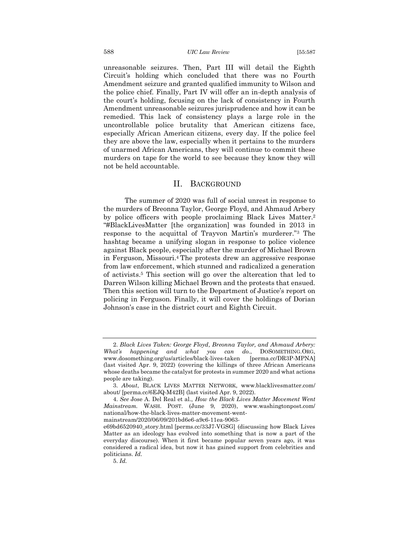unreasonable seizures. Then, Part III will detail the Eighth Circuit's holding which concluded that there was no Fourth Amendment seizure and granted qualified immunity to Wilson and the police chief. Finally, Part IV will offer an in-depth analysis of the court's holding, focusing on the lack of consistency in Fourth Amendment unreasonable seizures jurisprudence and how it can be remedied. This lack of consistency plays a large role in the uncontrollable police brutality that American citizens face, especially African American citizens, every day. If the police feel they are above the law, especially when it pertains to the murders of unarmed African Americans, they will continue to commit these murders on tape for the world to see because they know they will not be held accountable.

#### II. BACKGROUND

<span id="page-2-0"></span>The summer of 2020 was full of social unrest in response to the murders of Breonna Taylor, George Floyd, and Ahmaud Arbery by police officers with people proclaiming Black Lives Matter.<sup>2</sup> "#BlackLivesMatter [the organization] was founded in 2013 in response to the acquittal of Trayvon Martin's murderer."<sup>3</sup> The hashtag became a unifying slogan in response to police violence against Black people, especially after the murder of Michael Brown in Ferguson, Missouri.<sup>4</sup> The protests drew an aggressive response from law enforcement, which stunned and radicalized a generation of activists.<sup>5</sup> This section will go over the altercation that led to Darren Wilson killing Michael Brown and the protests that ensued. Then this section will turn to the Department of Justice's report on policing in Ferguson. Finally, it will cover the holdings of Dorian Johnson's case in the district court and Eighth Circuit.

mainstream/2020/06/09/201bd6e6-a9c6-11ea-9063-

<sup>2.</sup> *Black Lives Taken: George Floyd, Breonna Taylor, and Ahmaud Arbery: What's happening and what you can do.*, DOSOMETHING.ORG, www.dosomething.org/us/articles/black-lives-taken (last visited Apr. 9, 2022) (covering the killings of three African Americans whose deaths became the catalyst for protests in summer 2020 and what actions people are taking).

<sup>3.</sup> *About*, BLACK LIVES MATTER NETWORK, www.blacklivesmatter.com/ about/ [perma.cc/6EJQ-M42B] (last visited Apr. 9, 2022).

<sup>4.</sup> *See* Jose A. Del Real et al., *How the Black Lives Matter Movement Went Mainstream.* WASH. POST. (June 9, 2020), www.washingtonpost.com/ national/how-the-black-lives-matter-movement-went-

e69bd6520940\_story.html [perms.cc/33J7-VGSG] (discussing how Black Lives Matter as an ideology has evolved into something that is now a part of the everyday discourse). When it first became popular seven years ago, it was considered a radical idea, but now it has gained support from celebrities and politicians. *Id.*

<sup>5.</sup> *Id.*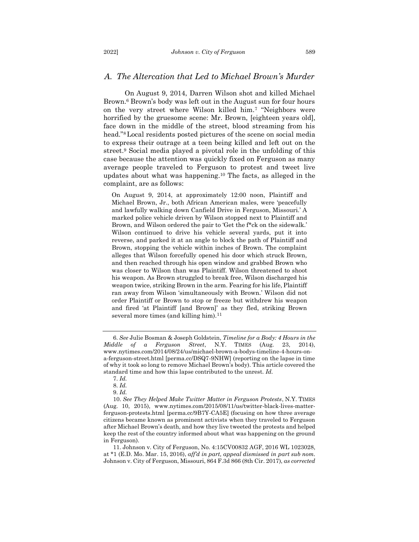#### <span id="page-3-0"></span>*A. The Altercation that Led to Michael Brown's Murder*

On August 9, 2014, Darren Wilson shot and killed Michael Brown.<sup>6</sup> Brown's body was left out in the August sun for four hours on the very street where Wilson killed him.<sup>7</sup> "Neighbors were horrified by the gruesome scene: Mr. Brown, [eighteen years old], face down in the middle of the street, blood streaming from his head."8Local residents posted pictures of the scene on social media to express their outrage at a teen being killed and left out on the street.<sup>9</sup> Social media played a pivotal role in the unfolding of this case because the attention was quickly fixed on Ferguson as many average people traveled to Ferguson to protest and tweet live updates about what was happening.<sup>10</sup> The facts, as alleged in the complaint, are as follows:

On August 9, 2014, at approximately 12:00 noon, Plaintiff and Michael Brown, Jr., both African American males, were 'peacefully and lawfully walking down Canfield Drive in Ferguson, Missouri.' A marked police vehicle driven by Wilson stopped next to Plaintiff and Brown, and Wilson ordered the pair to 'Get the f\*ck on the sidewalk.' Wilson continued to drive his vehicle several yards, put it into reverse, and parked it at an angle to block the path of Plaintiff and Brown, stopping the vehicle within inches of Brown. The complaint alleges that Wilson forcefully opened his door which struck Brown, and then reached through his open window and grabbed Brown who was closer to Wilson than was Plaintiff. Wilson threatened to shoot his weapon. As Brown struggled to break free, Wilson discharged his weapon twice, striking Brown in the arm. Fearing for his life, Plaintiff ran away from Wilson 'simultaneously with Brown.' Wilson did not order Plaintiff or Brown to stop or freeze but withdrew his weapon and fired 'at Plaintiff [and Brown]' as they fled, striking Brown several more times (and killing him).<sup>11</sup>

11. Johnson v. City of Ferguson, No. 4:15CV00832 AGF, 2016 WL 1023028, at \*1 (E.D. Mo. Mar. 15, 2016), *aff'd in part, appeal dismissed in part sub nom.* Johnson v. City of Ferguson, Missouri, 864 F.3d 866 (8th Cir. 2017), *as corrected*

<sup>6.</sup> *See* Julie Bosman & Joseph Goldstein, *Timeline for a Body: 4 Hours in the Middle of a Ferguson Street*, N.Y. TIMES (Aug. 23, 2014), www.nytimes.com/2014/08/24/us/michael-brown-a-bodys-timeline-4-hours-ona-ferguson-street.html [perma.cc/DSQ7-9NHW] (reporting on the lapse in time of why it took so long to remove Michael Brown's body). This article covered the standard time and how this lapse contributed to the unrest. *Id.*

<sup>7.</sup> *Id.*

<sup>8.</sup> *Id.*

<sup>9.</sup> *Id.*

<sup>10.</sup> *See They Helped Make Twitter Matter in Ferguson Protests*, N.Y. TIMES (Aug. 10, 2015), www.nytimes.com/2015/08/11/us/twitter-black-lives-matterferguson-protests.html [perma.cc/9B7Y-CA5E] (focusing on how three average citizens became known as prominent activists when they traveled to Ferguson after Michael Brown's death, and how they live tweeted the protests and helped keep the rest of the country informed about what was happening on the ground in Ferguson).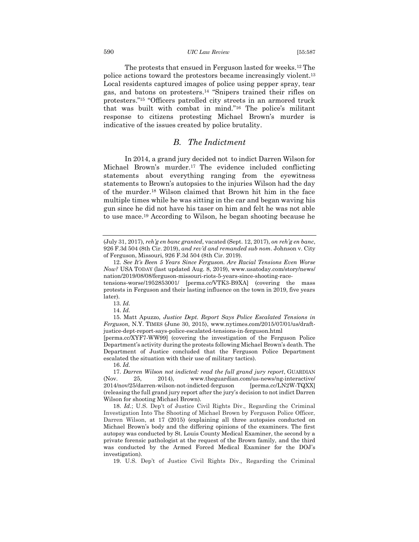#### 590 *UIC Law Review* [55:587

The protests that ensued in Ferguson lasted for weeks.<sup>12</sup> The police actions toward the protestors became increasingly violent.<sup>13</sup> Local residents captured images of police using pepper spray, tear gas, and batons on protesters.<sup>14</sup> "Snipers trained their rifles on protesters."<sup>15</sup> "Officers patrolled city streets in an armored truck that was built with combat in mind."<sup>16</sup> The police's militant response to citizens protesting Michael Brown's murder is indicative of the issues created by police brutality.

## <span id="page-4-0"></span>*B. The Indictment*

In 2014, a grand jury decided not to indict Darren Wilson for Michael Brown's murder.<sup>17</sup> The evidence included conflicting statements about everything ranging from the eyewitness statements to Brown's autopsies to the injuries Wilson had the day of the murder.<sup>18</sup> Wilson claimed that Brown hit him in the face multiple times while he was sitting in the car and began waving his gun since he did not have his taser on him and felt he was not able to use mace.<sup>19</sup> According to Wilson, he began shooting because he

15. Matt Apuzzo, *Justice Dept. Report Says Police Escalated Tensions in Ferguson,* N.Y. TIMES (June 30, 2015), www.nytimes.com/2015/07/01/us/draftjustice-dept-report-says-police-escalated-tensions-in-ferguson.html

[perma.cc/XYF7-WW99] (covering the investigation of the Ferguson Police Department's activity during the protests following Michael Brown's death. The Department of Justice concluded that the Ferguson Police Department escalated the situation with their use of military tactics).

16. *Id.*

17. *Darren Wilson not indicted: read the full grand jury report*, GUARDIAN (Nov. 25, 2014), www.theguardian.com/us-news/ng-interactive/ 2014/nov/25/darren-wilson-not-indicted-ferguson [perma.cc/LN2W-TQXX] (releasing the full grand jury report after the jury's decision to not indict Darren Wilson for shooting Michael Brown).

18. *Id.*; U.S. Dep't of Justice Civil Rights Div., Regarding the Criminal Investigation Into The Shooting of Michael Brown by Ferguson Police Officer, Darren Wilson, at 17 (2015) (explaining all three autopsies conducted on Michael Brown's body and the differing opinions of the examiners. The first autopsy was conducted by St. Louis County Medical Examiner, the second by a private forensic pathologist at the request of the Brown family, and the third was conducted by the Armed Forced Medical Examiner for the DOJ's investigation).

19. U.S. Dep't of Justice Civil Rights Div., Regarding the Criminal

<sup>(</sup>July 31, 2017), *reh'g en banc granted*, vacated (Sept. 12, 2017), *on reh'g en banc*, 926 F.3d 504 (8th Cir. 2019), *and rev'd and remanded sub nom*. Johnson v. City of Ferguson, Missouri, 926 F.3d 504 (8th Cir. 2019).

<sup>12.</sup> *See It's Been 5 Years Since Ferguson. Are Racial Tensions Even Worse Now?* USA TODAY (last updated Aug. 8, 2019), www.usatoday.com/story/news/ nation/2019/08/08/ferguson-missouri-riots-5-years-since-shooting-race-

tensions-worse/1952853001/ [perma.cc/VTK3-B9XA] (covering the mass protests in Ferguson and their lasting influence on the town in 2019, five years later).

<sup>13.</sup> *Id.* 

<sup>14.</sup> *Id.*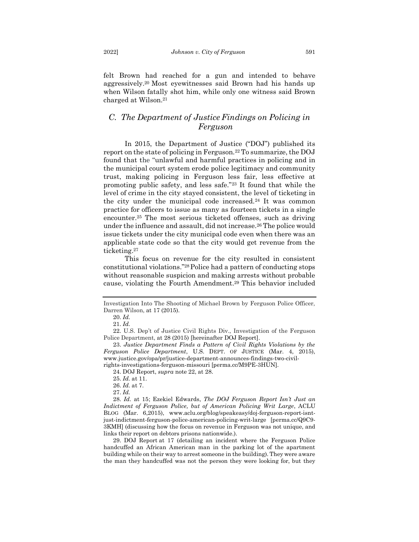felt Brown had reached for a gun and intended to behave aggressively.<sup>20</sup> Most eyewitnesses said Brown had his hands up when Wilson fatally shot him, while only one witness said Brown charged at Wilson.<sup>21</sup>

## <span id="page-5-0"></span>*C. The Department of Justice Findings on Policing in Ferguson*

In 2015, the Department of Justice ("DOJ") published its report on the state of policing in Ferguson.<sup>22</sup> To summarize, the DOJ found that the "unlawful and harmful practices in policing and in the municipal court system erode police legitimacy and community trust, making policing in Ferguson less fair, less effective at promoting public safety, and less safe."<sup>23</sup> It found that while the level of crime in the city stayed consistent, the level of ticketing in the city under the municipal code increased.<sup>24</sup> It was common practice for officers to issue as many as fourteen tickets in a single encounter.<sup>25</sup> The most serious ticketed offenses, such as driving under the influence and assault, did not increase.<sup>26</sup> The police would issue tickets under the city municipal code even when there was an applicable state code so that the city would get revenue from the ticketing.<sup>27</sup>

This focus on revenue for the city resulted in consistent constitutional violations."28Police had a pattern of conducting stops without reasonable suspicion and making arrests without probable cause, violating the Fourth Amendment.<sup>29</sup> This behavior included

Investigation Into The Shooting of Michael Brown by Ferguson Police Officer, Darren Wilson, at 17 (2015).

<sup>20.</sup> *Id.*

<sup>21.</sup> *Id.*

<sup>22.</sup> U.S. Dep't of Justice Civil Rights Div., Investigation of the Ferguson Police Department, at 28 (2015) [hereinafter DOJ Report].

<sup>23.</sup> *Justice Department Finds a Pattern of Civil Rights Violations by the Ferguson Police Department*, U.S. DEPT. OF JUSTICE (Mar. 4, 2015), www.justice.gov/opa/pr/justice-department-announces-findings-two-civilrights-investigations-ferguson-missouri [perma.cc/M9PE-3HUN].

<sup>24.</sup> DOJ Report, *supra* note 22, at 28.

<sup>25.</sup> *Id.* at 11. 26. *Id.* at 7.

<sup>27.</sup> *Id.*

<sup>28.</sup> *Id.* at 15; Ezekiel Edwards, *The DOJ Ferguson Report Isn't Just an Indictment of Ferguson Police, but of American Policing Writ Large*, ACLU BLOG (Mar. 6,2015), www.aclu.org/blog/speakeasy/doj-ferguson-report-isntjust-indictment-ferguson-police-american-policing-writ-large [perma.cc/Q9C9-3KMH] (discussing how the focus on revenue in Ferguson was not unique, and links their report on debtors prisons nationwide.).

<sup>29.</sup> DOJ Report at 17 (detailing an incident where the Ferguson Police handcuffed an African American man in the parking lot of the apartment building while on their way to arrest someone in the building). They were aware the man they handcuffed was not the person they were looking for, but they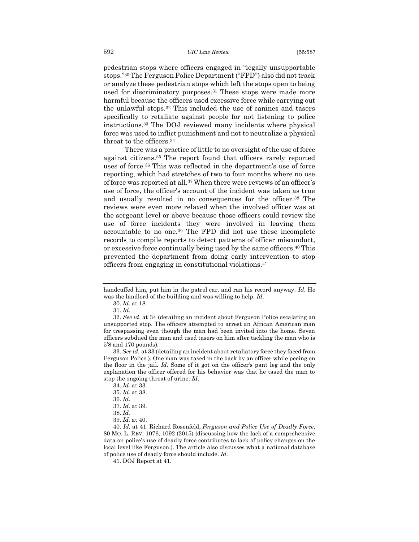pedestrian stops where officers engaged in "legally unsupportable stops."<sup>30</sup> The Ferguson Police Department ("FPD") also did not track or analyze these pedestrian stops which left the stops open to being used for discriminatory purposes.<sup>31</sup> These stops were made more harmful because the officers used excessive force while carrying out the unlawful stops.<sup>32</sup> This included the use of canines and tasers specifically to retaliate against people for not listening to police instructions.<sup>33</sup> The DOJ reviewed many incidents where physical force was used to inflict punishment and not to neutralize a physical threat to the officers.<sup>34</sup>

There was a practice of little to no oversight of the use of force against citizens.<sup>35</sup> The report found that officers rarely reported uses of force.<sup>36</sup> This was reflected in the department's use of force reporting, which had stretches of two to four months where no use of force was reported at all.<sup>37</sup> When there were reviews of an officer's use of force, the officer's account of the incident was taken as true and usually resulted in no consequences for the officer.<sup>38</sup> The reviews were even more relaxed when the involved officer was at the sergeant level or above because those officers could review the use of force incidents they were involved in leaving them accountable to no one.<sup>39</sup> The FPD did not use these incomplete records to compile reports to detect patterns of officer misconduct, or excessive force continually being used by the same officers.<sup>40</sup> This prevented the department from doing early intervention to stop officers from engaging in constitutional violations.<sup>41</sup>

33. *See id.* at 33 (detailing an incident about retaliatory force they faced from Ferguson Police.). One man was tased in the back by an officer while peeing on the floor in the jail. *Id*. Some of it got on the officer's pant leg and the only explanation the officer offered for his behavior was that he tased the man to stop the ongoing threat of urine. *Id*.

handcuffed him, put him in the patrol car, and ran his record anyway. *Id*. He was the landlord of the building and was willing to help. *Id*.

<sup>30.</sup> *Id.* at 18.

<sup>31.</sup> *Id*.

<sup>32.</sup> *See id.* at 34 (detailing an incident about Ferguson Police escalating an unsupported stop. The officers attempted to arrest an African American man for trespassing even though the man had been invited into the home. Seven officers subdued the man and used tasers on him after tackling the man who is 5'8 and 170 pounds).

<sup>34.</sup> *Id.* at 33.

<sup>35.</sup> *Id.* at 38.

<sup>36.</sup> *Id*.

<sup>37.</sup> *Id.* at 39.

<sup>38.</sup> *Id.*

<sup>39.</sup> *Id.* at 40.

<sup>40.</sup> *Id.* at 41. Richard Rosenfeld, *Ferguson and Police Use of Deadly Force*, 80 MO. L. REV. 1076, 1092 (2015) (discussing how the lack of a comprehensive data on police's use of deadly force contributes to lack of policy changes on the local level like Ferguson.). The article also discusses what a national database of police use of deadly force should include. *Id.*

<sup>41.</sup> DOJ Report at 41*.*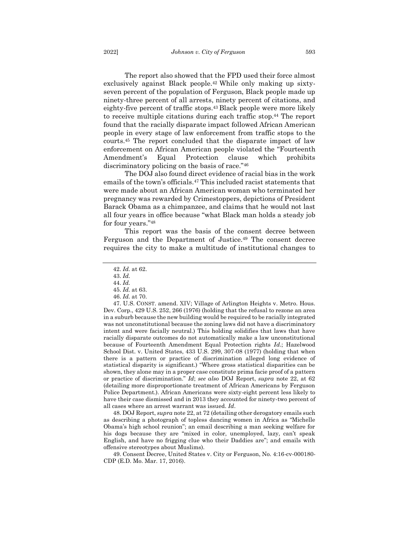The report also showed that the FPD used their force almost exclusively against Black people.<sup>42</sup> While only making up sixtyseven percent of the population of Ferguson, Black people made up ninety-three percent of all arrests, ninety percent of citations, and eighty-five percent of traffic stops.<sup>43</sup> Black people were more likely to receive multiple citations during each traffic stop.<sup>44</sup> The report found that the racially disparate impact followed African American people in every stage of law enforcement from traffic stops to the courts.<sup>45</sup> The report concluded that the disparate impact of law enforcement on African American people violated the "Fourteenth Amendment's Equal Protection clause which prohibits discriminatory policing on the basis of race."<sup>46</sup>

The DOJ also found direct evidence of racial bias in the work emails of the town's officials.<sup>47</sup> This included racist statements that were made about an African American woman who terminated her pregnancy was rewarded by Crimestoppers, depictions of President Barack Obama as a chimpanzee, and claims that he would not last all four years in office because "what Black man holds a steady job for four years."<sup>48</sup>

This report was the basis of the consent decree between Ferguson and the Department of Justice.<sup>49</sup> The consent decree requires the city to make a multitude of institutional changes to

45. *Id.* at 63.

47. U.S. CONST. amend. XIV; Village of Arlington Heights v. Metro. Hous. Dev. Corp., 429 U.S. 252, 266 (1976) (holding that the refusal to rezone an area in a suburb because the new building would be required to be racially integrated was not unconstitutional because the zoning laws did not have a discriminatory intent and were facially neutral.) This holding solidifies that laws that have racially disparate outcomes do not automatically make a law unconstitutional because of Fourteenth Amendment Equal Protection rights *Id*.; Hazelwood School Dist. v. United States, 433 U.S. 299, 307-08 (1977) (holding that when there is a pattern or practice of discrimination alleged long evidence of statistical disparity is significant.) "Where gross statistical disparities can be shown, they alone may in a proper case constitute prima facie proof of a pattern or practice of discrimination." *Id*; *see also* DOJ Report, *supra* note 22, at 62 (detailing more disproportionate treatment of African Americans by Ferguson Police Department.). African Americans were sixty-eight percent less likely to have their case dismissed and in 2013 they accounted for ninety-two percent of all cases where an arrest warrant was issued*. Id*.

48. DOJ Report, *supra* note 22, at 72 (detailing other derogatory emails such as describing a photograph of topless dancing women in Africa as "Michelle Obama's high school reunion"; an email describing a man seeking welfare for his dogs because they are "mixed in color, unemployed, lazy, can't speak English, and have no frigging clue who their Daddies are"; and emails with offensive stereotypes about Muslims).

49. Consent Decree, United States v. City or Ferguson, No. 4:16-cv-000180- CDP (E.D. Mo. Mar. 17, 2016).

<sup>42.</sup> *Id.* at 62.

<sup>43.</sup> *Id.*

<sup>44.</sup> *Id.*

<sup>46.</sup> *Id.* at 70.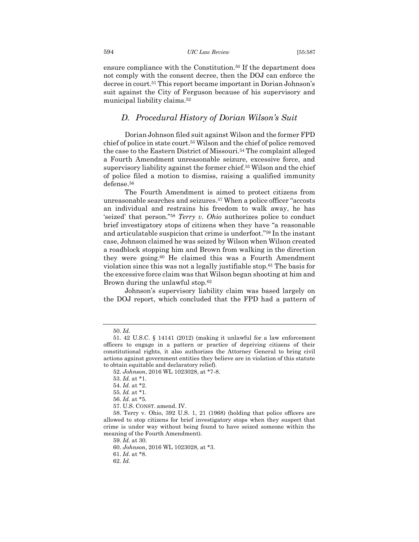ensure compliance with the Constitution.<sup>50</sup> If the department does not comply with the consent decree, then the DOJ can enforce the decree in court.<sup>51</sup> This report became important in Dorian Johnson's suit against the City of Ferguson because of his supervisory and municipal liability claims.<sup>52</sup>

#### <span id="page-8-0"></span>*D. Procedural History of Dorian Wilson's Suit*

Dorian Johnson filed suit against Wilson and the former FPD chief of police in state court.<sup>53</sup> Wilson and the chief of police removed the case to the Eastern District of Missouri.<sup>54</sup> The complaint alleged a Fourth Amendment unreasonable seizure, excessive force, and supervisory liability against the former chief.<sup>55</sup> Wilson and the chief of police filed a motion to dismiss, raising a qualified immunity defense.<sup>56</sup>

The Fourth Amendment is aimed to protect citizens from unreasonable searches and seizures.<sup>57</sup> When a police officer "accosts an individual and restrains his freedom to walk away, he has 'seized' that person."<sup>58</sup> *Terry v. Ohio* authorizes police to conduct brief investigatory stops of citizens when they have "a reasonable and articulatable suspicion that crime is underfoot."<sup>59</sup> In the instant case, Johnson claimed he was seized by Wilson when Wilson created a roadblock stopping him and Brown from walking in the direction they were going.<sup>60</sup> He claimed this was a Fourth Amendment violation since this was not a legally justifiable stop.<sup>61</sup> The basis for the excessive force claim was that Wilson began shooting at him and Brown during the unlawful stop.<sup>62</sup>

Johnson's supervisory liability claim was based largely on the DOJ report, which concluded that the FPD had a pattern of

59. *Id.* at 30.

<sup>50.</sup> *Id.*

<sup>51. 42</sup> U.S.C. § 14141 (2012) (making it unlawful for a law enforcement officers to engage in a pattern or practice of depriving citizens of their constitutional rights, it also authorizes the Attorney General to bring civil actions against government entities they believe are in violation of this statute to obtain equitable and declaratory relief).

<sup>52.</sup> *Johnson*, 2016 WL 1023028, at \*7-8.

<sup>53.</sup> *Id.* at \*1.

<sup>54.</sup> *Id.* at \*2.

<sup>55.</sup> *Id.* at \*1.

<sup>56.</sup> *Id.* at \*5.

<sup>57.</sup> U.S. CONST. amend. IV.

<sup>58.</sup> Terry v. Ohio, 392 U.S. 1, 21 (1968) (holding that police officers are allowed to stop citizens for brief investigatory stops when they suspect that crime is under way without being found to have seized someone within the meaning of the Fourth Amendment).

<sup>60.</sup> *Johnson*, 2016 WL 1023028, at \*3.

<sup>61.</sup> *Id.* at \*8.

<sup>62.</sup> *Id.*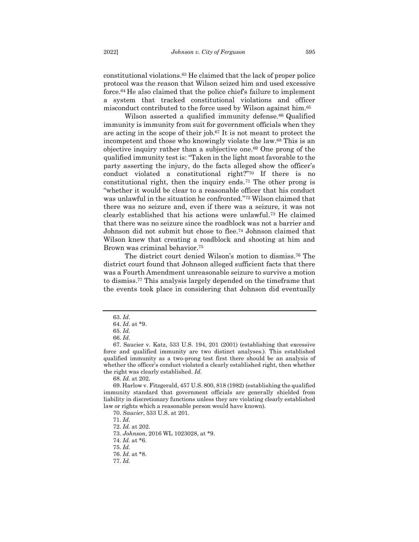constitutional violations.<sup>63</sup> He claimed that the lack of proper police protocol was the reason that Wilson seized him and used excessive force.<sup>64</sup> He also claimed that the police chief's failure to implement a system that tracked constitutional violations and officer misconduct contributed to the force used by Wilson against him.<sup>65</sup>

Wilson asserted a qualified immunity defense.<sup>66</sup> Qualified immunity is immunity from suit for government officials when they are acting in the scope of their job.<sup>67</sup> It is not meant to protect the incompetent and those who knowingly violate the law.<sup>68</sup> This is an objective inquiry rather than a subjective one.<sup>69</sup> One prong of the qualified immunity test is: "Taken in the light most favorable to the party asserting the injury, do the facts alleged show the officer's conduct violated a constitutional right?"<sup>70</sup> If there is no constitutional right, then the inquiry ends.<sup>71</sup> The other prong is "whether it would be clear to a reasonable officer that his conduct was unlawful in the situation he confronted."<sup>72</sup> Wilson claimed that there was no seizure and, even if there was a seizure, it was not clearly established that his actions were unlawful.<sup>73</sup> He claimed that there was no seizure since the roadblock was not a barrier and Johnson did not submit but chose to flee.<sup>74</sup> Johnson claimed that Wilson knew that creating a roadblock and shooting at him and Brown was criminal behavior.<sup>75</sup>

The district court denied Wilson's motion to dismiss.<sup>76</sup> The district court found that Johnson alleged sufficient facts that there was a Fourth Amendment unreasonable seizure to survive a motion to dismiss.<sup>77</sup> This analysis largely depended on the timeframe that the events took place in considering that Johnson did eventually

74. *Id.* at \*6.

75. *Id.*

<sup>63.</sup> *Id.*

<sup>64.</sup> *Id.* at \*9. 65. *Id.*

<sup>66.</sup> *Id.*

<sup>67.</sup> Saucier v. Katz, 533 U.S. 194, 201 (2001) (establishing that excessive force and qualified immunity are two distinct analyses.). This established qualified immunity as a two-prong test first there should be an analysis of whether the officer's conduct violated a clearly established right, then whether the right was clearly established. *Id*.

<sup>68.</sup> *Id.* at 202.

<sup>69.</sup> Harlow v. Fitzgerald, 457 U.S. 800, 818 (1982) (establishing the qualified immunity standard that government officials are generally shielded from liability in discretionary functions unless they are violating clearly established law or rights which a reasonable person would have known).

<sup>70.</sup> *Saucier*, 533 U.S. at 201.

<sup>71.</sup> *Id.*

<sup>72.</sup> *Id.* at 202.

<sup>73.</sup> *Johnson*, 2016 WL 1023028, at \*9.

<sup>76.</sup> *Id.* at \*8.

<sup>77.</sup> *Id.*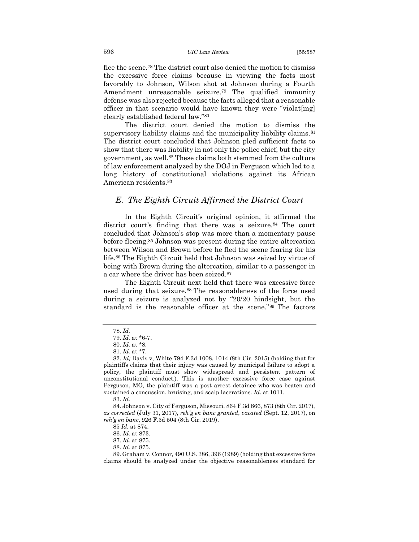flee the scene.<sup>78</sup> The district court also denied the motion to dismiss the excessive force claims because in viewing the facts most favorably to Johnson, Wilson shot at Johnson during a Fourth Amendment unreasonable seizure.<sup>79</sup> The qualified immunity defense was also rejected because the facts alleged that a reasonable officer in that scenario would have known they were "violat[ing] clearly established federal law."<sup>80</sup>

The district court denied the motion to dismiss the supervisory liability claims and the municipality liability claims.<sup>81</sup> The district court concluded that Johnson pled sufficient facts to show that there was liability in not only the police chief, but the city government, as well.<sup>82</sup> These claims both stemmed from the culture of law enforcement analyzed by the DOJ in Ferguson which led to a long history of constitutional violations against its African American residents.<sup>83</sup>

#### <span id="page-10-0"></span>*E. The Eighth Circuit Affirmed the District Court*

In the Eighth Circuit's original opinion, it affirmed the district court's finding that there was a seizure.<sup>84</sup> The court concluded that Johnson's stop was more than a momentary pause before fleeing.<sup>85</sup> Johnson was present during the entire altercation between Wilson and Brown before he fled the scene fearing for his life.<sup>86</sup> The Eighth Circuit held that Johnson was seized by virtue of being with Brown during the altercation, similar to a passenger in a car where the driver has been seized.<sup>87</sup>

The Eighth Circuit next held that there was excessive force used during that seizure.<sup>88</sup> The reasonableness of the force used during a seizure is analyzed not by "20/20 hindsight, but the standard is the reasonable officer at the scene."<sup>89</sup> The factors

<sup>78.</sup> *Id.*

<sup>79.</sup> *Id.* at \*6-7.

<sup>80.</sup> *Id.* at \*8.

<sup>81.</sup> *Id.* at \*7.

<sup>82.</sup> *Id;* Davis v, White 794 F.3d 1008, 1014 (8th Cir. 2015) (holding that for plaintiffs claims that their injury was caused by municipal failure to adopt a policy, the plaintiff must show widespread and persistent pattern of unconstitutional conduct.). This is another excessive force case against Ferguson, MO, the plaintiff was a post arrest detainee who was beaten and sustained a concussion, bruising, and scalp lacerations*. Id*. at 1011.

<sup>83.</sup> *Id.*

<sup>84.</sup> Johnson v. City of Ferguson, Missouri, 864 F.3d 866, 873 (8th Cir. 2017), *as corrected* (July 31, 2017), *reh'g en banc granted*, *vacated* (Sept. 12, 2017), on *reh'g en banc*, 926 F.3d 504 (8th Cir. 2019).

<sup>85</sup> *Id.* at 874.

<sup>86.</sup> *Id.* at 873.

<sup>87.</sup> *Id.* at 875.

<sup>88.</sup> *Id.* at 875.

<sup>89.</sup> Graham v. Connor, 490 U.S. 386, 396 (1989) (holding that excessive force claims should be analyzed under the objective reasonableness standard for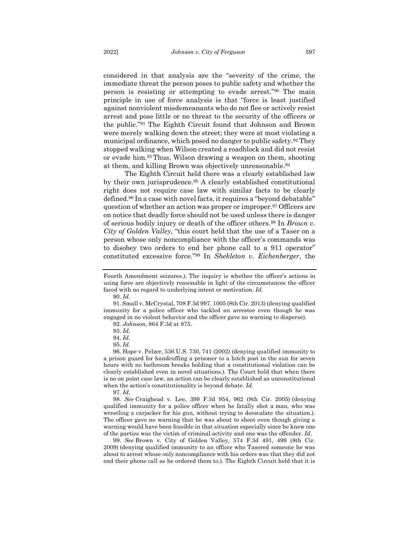considered in that analysis are the "severity of the crime, the immediate threat the person poses to public safety and whether the person is resisting or attempting to evade arrest."<sup>90</sup> The main principle in use of force analysis is that "force is least justified against nonviolent misdemeanants who do not flee or actively resist arrest and pose little or no threat to the security of the officers or the public."<sup>91</sup> The Eighth Circuit found that Johnson and Brown were merely walking down the street; they were at most violating a municipal ordinance, which posed no danger to public safety.<sup>92</sup> They stopped walking when Wilson created a roadblock and did not resist or evade him.<sup>93</sup> Thus, Wilson drawing a weapon on them, shooting at them, and killing Brown was objectively unreasonable.<sup>94</sup>

The Eighth Circuit held there was a clearly established law by their own jurisprudence.<sup>95</sup> A clearly established constitutional right does not require case law with similar facts to be clearly defined.<sup>96</sup> In a case with novel facts, it requires a "beyond debatable" question of whether an action was proper or improper.<sup>97</sup> Officers are on notice that deadly force should not be used unless there is danger of serious bodily injury or death of the officer others.<sup>98</sup> In *Brown v. City of Golden Valley,* "this court held that the use of a Taser on a person whose only noncompliance with the officer's commands was to disobey two orders to end her phone call to a 911 operator" constituted excessive force."<sup>99</sup> In *Shekleton v. Eichenberger*, the

91. Small v. McCrystal, 708 F.3d 997, 1005 (8th Cir. 2013) (denying qualified immunity for a police officer who tackled an arrestee even though he was engaged in no violent behavior and the officer gave no warning to disperse).

96. Hope v. Pelzer, 536 U.S. 730, 741 (2002) (denying qualified immunity to a prison guard for handcuffing a prisoner to a hitch post in the sun for seven hours with no bathroom breaks holding that a constitutional violation can be clearly established even in novel situations.). The Court held that when there is no on point case law, an action can be clearly established as unconstitutional when the action's constitutionality is beyond debate. *Id.*

97. *Id.*

98. *See* Craighead v. Lee, 399 F.3d 954, 962 (8th Cir. 2005) (denying qualified immunity for a police officer when he fatally shot a man, who was wrestling a carjacker for his gun, without trying to deescalate the situation.). The officer gave no warning that he was about to shoot even though giving a warning would have been feasible in that situation especially since he knew one of the parties was the victim of criminal activity and one was the offender. *Id*.

99. *See* Brown v. City of Golden Valley, 574 F.3d 491, 499 (8th Cir. 2009) (denying qualified immunity to an officer who Tasered someone he was about to arrest whose only noncompliance with his orders was that they did not end their phone call as he ordered them to.). The Eighth Circuit held that it is

Fourth Amendment seizures.). The inquiry is whether the officer's actions in using force are objectively reasonable in light of the circumstances the officer faced with no regard to underlying intent or motivation. *Id.*

<sup>90.</sup> *Id.*

<sup>92.</sup> *Johnson*, 864 F.3d at 875.

<sup>93.</sup> *Id.*

<sup>94.</sup> *Id.* 95. *Id.*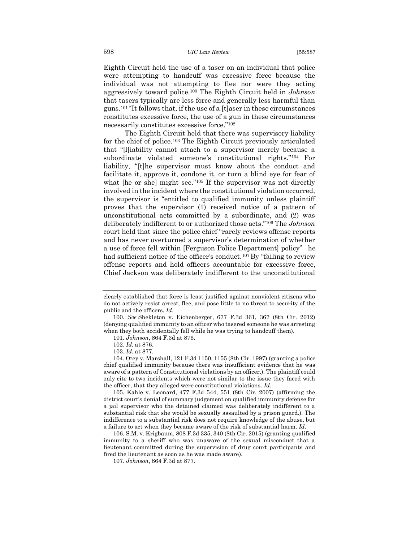598 *UIC Law Review* [55:587

Eighth Circuit held the use of a taser on an individual that police were attempting to handcuff was excessive force because the individual was not attempting to flee nor were they acting aggressively toward police.<sup>100</sup> The Eighth Circuit held in *Johnson* that tasers typically are less force and generally less harmful than guns.<sup>101</sup> "It follows that, if the use of a [t]aser in these circumstances constitutes excessive force, the use of a gun in these circumstances necessarily constitutes excessive force."<sup>102</sup>

The Eighth Circuit held that there was supervisory liability for the chief of police.<sup>103</sup> The Eighth Circuit previously articulated that "[l]iability cannot attach to a supervisor merely because a subordinate violated someone's constitutional rights."<sup>104</sup> For liability, "[t]he supervisor must know about the conduct and facilitate it, approve it, condone it, or turn a blind eye for fear of what [he or she] might see."<sup>105</sup> If the supervisor was not directly involved in the incident where the constitutional violation occurred, the supervisor is "entitled to qualified immunity unless plaintiff proves that the supervisor (1) received notice of a pattern of unconstitutional acts committed by a subordinate, and (2) was deliberately indifferent to or authorized those acts."<sup>106</sup> The *Johnson*  court held that since the police chief "rarely reviews offense reports and has never overturned a supervisor's determination of whether a use of force fell within [Ferguson Police Department] policy" he had sufficient notice of the officer's conduct.<sup>107</sup> By "failing to review offense reports and hold officers accountable for excessive force, Chief Jackson was deliberately indifferent to the unconstitutional

105. Kahle v. Leonard, 477 F.3d 544, 551 (8th Cir. 2007) (affirming the district court's denial of summary judgement on qualified immunity defense for a jail supervisor who the detained claimed was deliberately indifferent to a substantial risk that she would be sexually assaulted by a prison guard.). The indifference to a substantial risk does not require knowledge of the abuse, but a failure to act when they became aware of the risk of substantial harm. *Id*.

106. S.M. v. Krigbaum, 808 F.3d 335, 340 (8th Cir. 2015) (granting qualified immunity to a sheriff who was unaware of the sexual misconduct that a lieutenant committed during the supervision of drug court participants and fired the lieutenant as soon as he was made aware).

clearly established that force is least justified against nonviolent citizens who do not actively resist arrest, flee, and pose little to no threat to security of the public and the officers*. Id*.

<sup>100.</sup> *See* Shekleton v. Eichenberger, 677 F.3d 361, 367 (8th Cir. 2012) (denying qualified immunity to an officer who tasered someone he was arresting when they both accidentally fell while he was trying to handcuff them).

<sup>101.</sup> *Johnson*, 864 F.3d at 876.

<sup>102.</sup> *Id.* at 876.

<sup>103.</sup> *Id.* at 877.

<sup>104.</sup> Otey v. Marshall, 121 F.3d 1150, 1155 (8th Cir. 1997) (granting a police chief qualified immunity because there was insufficient evidence that he was aware of a pattern of Constitutional violations by an officer.). The plaintiff could only cite to two incidents which were not similar to the issue they faced with the officer, that they alleged were constitutional violations. *Id*.

<sup>107.</sup> *Johnson*, 864 F.3d at 877.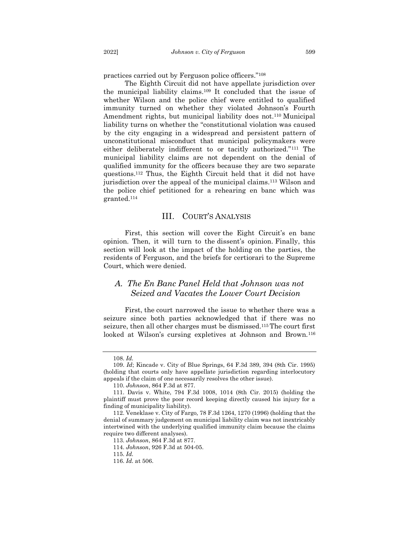practices carried out by Ferguson police officers."<sup>108</sup>

The Eighth Circuit did not have appellate jurisdiction over the municipal liability claims.<sup>109</sup> It concluded that the issue of whether Wilson and the police chief were entitled to qualified immunity turned on whether they violated Johnson's Fourth Amendment rights, but municipal liability does not.<sup>110</sup> Municipal liability turns on whether the "constitutional violation was caused by the city engaging in a widespread and persistent pattern of unconstitutional misconduct that municipal policymakers were either deliberately indifferent to or tacitly authorized."<sup>111</sup> The municipal liability claims are not dependent on the denial of qualified immunity for the officers because they are two separate questions.<sup>112</sup> Thus, the Eighth Circuit held that it did not have jurisdiction over the appeal of the municipal claims.<sup>113</sup> Wilson and the police chief petitioned for a rehearing en banc which was granted.<sup>114</sup>

#### <span id="page-13-0"></span>III. COURT'S ANALYSIS

First, this section will cover the Eight Circuit's en banc opinion. Then, it will turn to the dissent's opinion. Finally, this section will look at the impact of the holding on the parties, the residents of Ferguson, and the briefs for certiorari to the Supreme Court, which were denied.

# <span id="page-13-1"></span>*A. The En Banc Panel Held that Johnson was not Seized and Vacates the Lower Court Decision*

First, the court narrowed the issue to whether there was a seizure since both parties acknowledged that if there was no seizure, then all other charges must be dismissed.115The court first looked at Wilson's cursing expletives at Johnson and Brown.<sup>116</sup>

<sup>108.</sup> *Id.*

<sup>109.</sup> *Id*; Kincade v. City of Blue Springs, 64 F.3d 389, 394 (8th Cir. 1995) (holding that courts only have appellate jurisdiction regarding interlocutory appeals if the claim of one necessarily resolves the other issue).

<sup>110.</sup> *Johnson*, 864 F.3d at 877.

<sup>111.</sup> Davis v. White, 794 F.3d 1008, 1014 (8th Cir. 2015) (holding the plaintiff must prove the poor record keeping directly caused his injury for a finding of municipality liability).

<sup>112.</sup> Veneklase v. City of Fargo*,* 78 F.3d 1264, 1270 (1996) (holding that the denial of summary judgement on municipal liability claim was not inextricably intertwined with the underlying qualified immunity claim because the claims require two different analyses).

<sup>113.</sup> *Johnson*, 864 F.3d at 877.

<sup>114.</sup> *Johnson*, 926 F.3d at 504-05.

<sup>115.</sup> *Id.*

<sup>116.</sup> *Id.* at 506.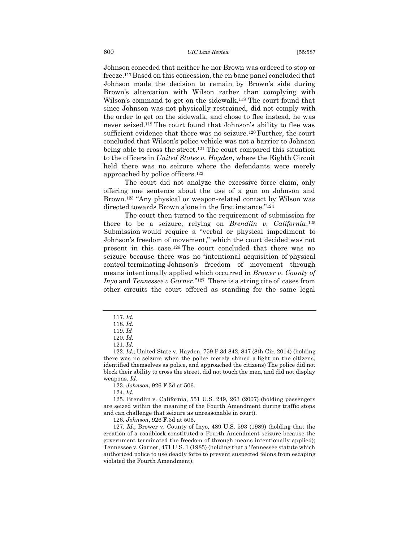Johnson conceded that neither he nor Brown was ordered to stop or freeze.117Based on this concession, the en banc panel concluded that Johnson made the decision to remain by Brown's side during Brown's altercation with Wilson rather than complying with Wilson's command to get on the sidewalk.<sup>118</sup> The court found that since Johnson was not physically restrained, did not comply with the order to get on the sidewalk, and chose to flee instead, he was never seized.<sup>119</sup> The court found that Johnson's ability to flee was sufficient evidence that there was no seizure.<sup>120</sup> Further, the court concluded that Wilson's police vehicle was not a barrier to Johnson being able to cross the street.<sup>121</sup> The court compared this situation to the officers in *United States v. Hayden*, where the Eighth Circuit held there was no seizure where the defendants were merely approached by police officers.<sup>122</sup>

The court did not analyze the excessive force claim, only offering one sentence about the use of a gun on Johnson and Brown. <sup>123</sup> "Any physical or weapon-related contact by Wilson was directed towards Brown alone in the first instance." 124

The court then turned to the requirement of submission for there to be a seizure, relying on *Brendlin v. California*. 125 Submission would require a "verbal or physical impediment to Johnson's freedom of movement," which the court decided was not present in this case.<sup>126</sup> The court concluded that there was no seizure because there was no "intentional acquisition of physical control terminating Johnson's freedom of movement through means intentionally applied which occurred in *Brower v. County of Inyo* and *Tennessee v Garner*."<sup>127</sup> There is a string cite of cases from other circuits the court offered as standing for the same legal

123. *Johnson*, 926 F.3d at 506.

124. *Id.*

125. Brendlin v. California, 551 U.S. 249, 263 (2007) (holding passengers are seized within the meaning of the Fourth Amendment during traffic stops and can challenge that seizure as unreasonable in court).

126. *Johnson*, 926 F.3d at 506.

127. *Id.*; Brower v. County of Inyo, 489 U.S. 593 (1989) (holding that the creation of a roadblock constituted a Fourth Amendment seizure because the government terminated the freedom of through means intentionally applied); Tennessee v. Garner, 471 U.S. 1 (1985) (holding that a Tennessee statute which authorized police to use deadly force to prevent suspected felons from escaping violated the Fourth Amendment).

<sup>117.</sup> *Id.*

<sup>118.</sup> *Id.*

<sup>119.</sup> *Id*

<sup>120.</sup> *Id.*

<sup>121.</sup> *Id.*

<sup>122.</sup> *Id.*; United State v. Hayden, 759 F.3d 842, 847 (8th Cir. 2014) (holding there was no seizure when the police merely shined a light on the citizens, identified themselves as police, and approached the citizens) The police did not block their ability to cross the street, did not touch the men, and did not display weapons. *Id*.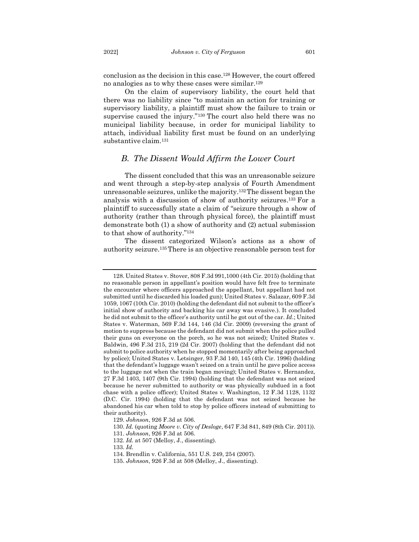conclusion as the decision in this case.<sup>128</sup> However, the court offered no analogies as to why these cases were similar.<sup>129</sup>

On the claim of supervisory liability, the court held that there was no liability since "to maintain an action for training or supervisory liability, a plaintiff must show the failure to train or supervise caused the injury."<sup>130</sup> The court also held there was no municipal liability because, in order for municipal liability to attach, individual liability first must be found on an underlying substantive claim.<sup>131</sup>

#### *B. The Dissent Would Affirm the Lower Court*

<span id="page-15-0"></span>The dissent concluded that this was an unreasonable seizure and went through a step-by-step analysis of Fourth Amendment unreasonable seizures, unlike the majority.132The dissent began the analysis with a discussion of show of authority seizures. <sup>133</sup> For a plaintiff to successfully state a claim of "seizure through a show of authority (rather than through physical force), the plaintiff must demonstrate both (1) a show of authority and (2) actual submission to that show of authority."<sup>134</sup>

The dissent categorized Wilson's actions as a show of authority seizure.135There is an objective reasonable person test for

<sup>128.</sup> United States v. Stover, 808 F.3d 991,1000 (4th Cir. 2015) (holding that no reasonable person in appellant's position would have felt free to terminate the encounter where officers approached the appellant, but appellant had not submitted until he discarded his loaded gun); United States v. Salazar, 609 F.3d 1059, 1067 (10th Cir. 2010) (holding the defendant did not submit to the officer's initial show of authority and backing his car away was evasive.). It concluded he did not submit to the officer's authority until he got out of the car. *Id*.; United States v. Waterman, 569 F.3d 144, 146 (3d Cir. 2009) (reversing the grant of motion to suppress because the defendant did not submit when the police pulled their guns on everyone on the porch, so he was not seized); United States v. Baldwin, 496 F.3d 215, 219 (2d Cir. 2007) (holding that the defendant did not submit to police authority when he stopped momentarily after being approached by police); United States v. Letsinger, 93 F.3d 140, 145 (4th Cir. 1996) (holding that the defendant's luggage wasn't seized on a train until he gave police access to the luggage not when the train began moving); United States v. Hernandez, 27 F.3d 1403, 1407 (9th Cir. 1994) (holding that the defendant was not seized because he never submitted to authority or was physically subdued in a foot chase with a police officer); United States v. Washington, 12 F.3d 1128, 1132 (D.C. Cir. 1994) (holding that the defendant was not seized because he abandoned his car when told to stop by police officers instead of submitting to their authority).

<sup>129.</sup> *Johnson*, 926 F.3d at 506.

<sup>130.</sup> *Id.* (quoting *Moore v. City of Desloge*, 647 F.3d 841, 849 (8th Cir. 2011)).

<sup>131.</sup> *Johnson*, 926 F.3d at 506*.*

<sup>132.</sup> *Id.* at 507 (Melloy, J., dissenting).

<sup>133.</sup> *Id.*

<sup>134.</sup> Brendlin v. California, 551 U.S. 249, 254 (2007).

<sup>135.</sup> *Johnson*, 926 F.3d at 508 (Melloy, J., dissenting).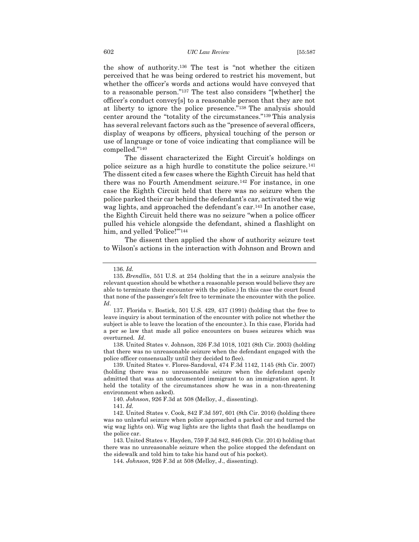the show of authority.<sup>136</sup> The test is "not whether the citizen perceived that he was being ordered to restrict his movement, but whether the officer's words and actions would have conveyed that to a reasonable person."<sup>137</sup> The test also considers "[whether] the officer's conduct convey[s] to a reasonable person that they are not at liberty to ignore the police presence."<sup>138</sup> The analysis should center around the "totality of the circumstances."<sup>139</sup> This analysis has several relevant factors such as the "presence of several officers, display of weapons by officers, physical touching of the person or use of language or tone of voice indicating that compliance will be compelled."<sup>140</sup>

The dissent characterized the Eight Circuit's holdings on police seizure as a high hurdle to constitute the police seizure.<sup>141</sup> The dissent cited a few cases where the Eighth Circuit has held that there was no Fourth Amendment seizure.<sup>142</sup> For instance, in one case the Eighth Circuit held that there was no seizure when the police parked their car behind the defendant's car, activated the wig wag lights, and approached the defendant's car.<sup>143</sup> In another case, the Eighth Circuit held there was no seizure "when a police officer pulled his vehicle alongside the defendant, shined a flashlight on him, and yelled 'Police!"<sup>144</sup>

The dissent then applied the show of authority seizure test to Wilson's actions in the interaction with Johnson and Brown and

138. United States v. Johnson, 326 F.3d 1018, 1021 (8th Cir. 2003) (holding that there was no unreasonable seizure when the defendant engaged with the police officer consensually until they decided to flee).

139. United States v. Flores-Sandoval, 474 F.3d 1142, 1145 (8th Cir. 2007) (holding there was no unreasonable seizure when the defendant openly admitted that was an undocumented immigrant to an immigration agent. It held the totality of the circumstances show he was in a non-threatening environment when asked).

140. *Johnson*, 926 F.3d at 508 (Melloy, J., dissenting).

141. *Id.*

142. United States v. Cook, 842 F.3d 597, 601 (8th Cir. 2016) (holding there was no unlawful seizure when police approached a parked car and turned the wig wag lights on). Wig wag lights are the lights that flash the headlamps on the police car.

143. United States v. Hayden, 759 F.3d 842, 846 (8th Cir. 2014) holding that there was no unreasonable seizure when the police stopped the defendant on the sidewalk and told him to take his hand out of his pocket).

144. *Johnson*, 926 F.3d at 508 (Melloy, J., dissenting).

<sup>136.</sup> *Id.* 

<sup>135.</sup> *Brendlin*, 551 U.S. at 254 (holding that the in a seizure analysis the relevant question should be whether a reasonable person would believe they are able to terminate their encounter with the police.) In this case the court found that none of the passenger's felt free to terminate the encounter with the police. *Id*.

<sup>137.</sup> Florida v. Bostick, 501 U.S. 429, 437 (1991) (holding that the free to leave inquiry is about termination of the encounter with police not whether the subject is able to leave the location of the encounter.). In this case, Florida had a per se law that made all police encounters on buses seizures which was overturned*. Id*.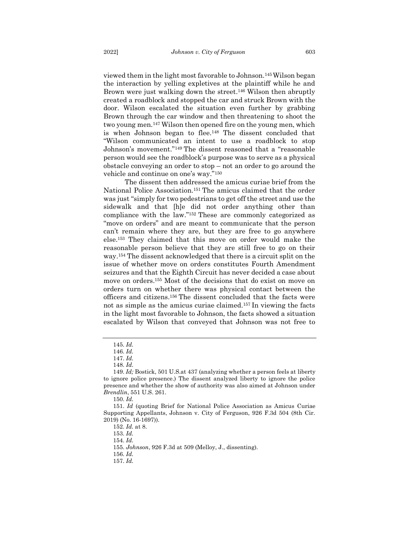viewed them in the light most favorable to Johnson.145Wilson began the interaction by yelling expletives at the plaintiff while he and Brown were just walking down the street.<sup>146</sup> Wilson then abruptly created a roadblock and stopped the car and struck Brown with the door. Wilson escalated the situation even further by grabbing Brown through the car window and then threatening to shoot the two young men.<sup>147</sup> Wilson then opened fire on the young men, which is when Johnson began to flee.<sup>148</sup> The dissent concluded that "Wilson communicated an intent to use a roadblock to stop Johnson's movement."<sup>149</sup> The dissent reasoned that a "reasonable person would see the roadblock's purpose was to serve as a physical obstacle conveying an order to stop – not an order to go around the vehicle and continue on one's way."<sup>150</sup>

The dissent then addressed the amicus curiae brief from the National Police Association.<sup>151</sup> The amicus claimed that the order was just "simply for two pedestrians to get off the street and use the sidewalk and that [h]e did not order anything other than compliance with the law."<sup>152</sup> These are commonly categorized as "move on orders" and are meant to communicate that the person can't remain where they are, but they are free to go anywhere else.<sup>153</sup> They claimed that this move on order would make the reasonable person believe that they are still free to go on their way.<sup>154</sup> The dissent acknowledged that there is a circuit split on the issue of whether move on orders constitutes Fourth Amendment seizures and that the Eighth Circuit has never decided a case about move on orders.<sup>155</sup> Most of the decisions that do exist on move on orders turn on whether there was physical contact between the officers and citizens.<sup>156</sup> The dissent concluded that the facts were not as simple as the amicus curiae claimed.<sup>157</sup> In viewing the facts in the light most favorable to Johnson, the facts showed a situation escalated by Wilson that conveyed that Johnson was not free to

<sup>145.</sup> *Id.*

<sup>146.</sup> *Id.*

<sup>147.</sup> *Id.*

<sup>148.</sup> *Id.*

<sup>149.</sup> *Id;* Bostick, 501 U.S.at 437 (analyzing whether a person feels at liberty to ignore police presence.) The dissent analyzed liberty to ignore the police presence and whether the show of authority was also aimed at Johnson under *Brendlin*, 551 U.S. 261.

<sup>150.</sup> *Id.*

<sup>151.</sup> *Id* (quoting Brief for National Police Association as Amicus Curiae Supporting Appellants, Johnson v. City of Ferguson, 926 F.3d 504 (8th Cir. 2019) (No. 16-1697)).

<sup>152.</sup> *Id.* at 8.

<sup>153.</sup> *Id.*

<sup>154.</sup> *Id.*

<sup>155.</sup> *Johnson*, 926 F.3d at 509 (Melloy, J., dissenting).

<sup>156.</sup> *Id.*

<sup>157.</sup> *Id.*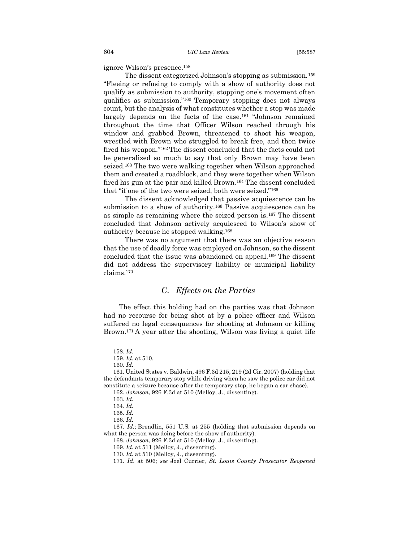ignore Wilson's presence.<sup>158</sup>

The dissent categorized Johnson's stopping as submission.<sup>159</sup> "Fleeing or refusing to comply with a show of authority does not qualify as submission to authority, stopping one's movement often qualifies as submission."<sup>160</sup> Temporary stopping does not always count, but the analysis of what constitutes whether a stop was made largely depends on the facts of the case.<sup>161</sup> "Johnson remained throughout the time that Officer Wilson reached through his window and grabbed Brown, threatened to shoot his weapon, wrestled with Brown who struggled to break free, and then twice fired his weapon."<sup>162</sup> The dissent concluded that the facts could not be generalized so much to say that only Brown may have been seized.<sup>163</sup> The two were walking together when Wilson approached them and created a roadblock, and they were together when Wilson fired his gun at the pair and killed Brown.<sup>164</sup> The dissent concluded that "if one of the two were seized, both were seized."<sup>165</sup>

The dissent acknowledged that passive acquiescence can be submission to a show of authority.<sup>166</sup> Passive acquiescence can be as simple as remaining where the seized person is.<sup>167</sup> The dissent concluded that Johnson actively acquiesced to Wilson's show of authority because he stopped walking.<sup>168</sup>

There was no argument that there was an objective reason that the use of deadly force was employed on Johnson, so the dissent concluded that the issue was abandoned on appeal.<sup>169</sup> The dissent did not address the supervisory liability or municipal liability claims.<sup>170</sup>

## <span id="page-18-0"></span>*C. Effects on the Parties*

The effect this holding had on the parties was that Johnson had no recourse for being shot at by a police officer and Wilson suffered no legal consequences for shooting at Johnson or killing Brown.<sup>171</sup> A year after the shooting, Wilson was living a quiet life

168. *Johnson*, 926 F.3d at 510 (Melloy, J., dissenting).

<sup>158.</sup> *Id.*

<sup>159.</sup> *Id.* at 510.

<sup>160.</sup> *Id.*

<sup>161.</sup> United States v. Baldwin, 496 F.3d 215, 219 (2d Cir. 2007) (holding that the defendants temporary stop while driving when he saw the police car did not constitute a seizure because after the temporary stop, he began a car chase).

<sup>162.</sup> *Johnson*, 926 F.3d at 510 (Melloy, J., dissenting).

<sup>163.</sup> *Id.*

<sup>164.</sup> *Id.*

<sup>165.</sup> *Id.*

<sup>166.</sup> *Id.*

<sup>167.</sup> *Id.*; Brendlin, 551 U.S. at 255 (holding that submission depends on what the person was doing before the show of authority).

<sup>169.</sup> *Id.* at 511 (Melloy, J., dissenting).

<sup>170.</sup> *Id.* at 510 (Melloy, J., dissenting).

<sup>171.</sup> *Id.* at 506; *see* Joel Currier, *St. Louis County Prosecutor Reopened*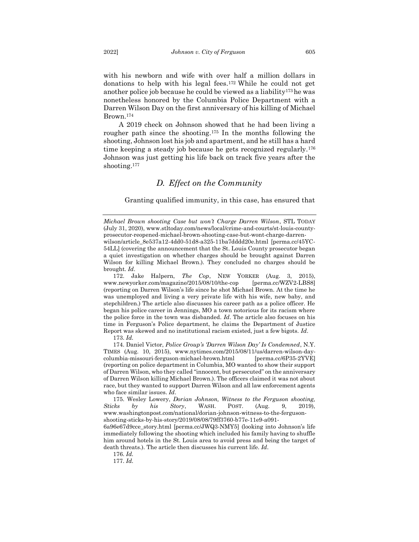with his newborn and wife with over half a million dollars in donations to help with his legal fees.<sup>172</sup> While he could not get another police job because he could be viewed as a liability173he was nonetheless honored by the Columbia Police Department with a Darren Wilson Day on the first anniversary of his killing of Michael Brown.<sup>174</sup>

A 2019 check on Johnson showed that he had been living a rougher path since the shooting.<sup>175</sup> In the months following the shooting, Johnson lost his job and apartment, and he still has a hard time keeping a steady job because he gets recognized regularly.<sup>176</sup> Johnson was just getting his life back on track five years after the shooting.<sup>177</sup>

## *D. Effect on the Community*

<span id="page-19-0"></span>Granting qualified immunity, in this case, has ensured that

172. Jake Halpern, *The Cop*, NEW YORKER (Aug. 3, 2015), www.newyorker.com/magazine/2015/08/10/the-cop [perma.cc/WZV2-LBS8] (reporting on Darren Wilson's life since he shot Michael Brown. At the time he was unemployed and living a very private life with his wife, new baby, and stepchildren.) The article also discusses his career path as a police officer. He began his police career in Jennings, MO a town notorious for its racism where the police force in the town was disbanded. *Id*. The article also focuses on his time in Ferguson's Police department, he claims the Department of Justice Report was skewed and no institutional racism existed, just a few bigots. *Id*.

173. *Id.*

174. Daniel Victor, *Police Group's 'Darren Wilson Day' Is Condemned*, N.Y. TIMES (Aug. 10, 2015), www.nytimes.com/2015/08/11/us/darren-wilson-daycolumbia-missouri-ferguson-michael-brown.html [perma.cc/6P35-2YVE] (reporting on police department in Columbia, MO wanted to show their support of Darren Wilson, who they called "innocent, but persecuted" on the anniversary of Darren Wilson killing Michael Brown.). The officers claimed it was not about race, but they wanted to support Darren Wilson and all law enforcement agents who face similar issues. *Id*.

175. Wesley Lowery, *Dorian Johnson, Witness to the Ferguson shooting, Sticks by his Story*, WASH. POST. (Aug. 9, 2019), www.washingtonpost.com/national/dorian-johnson-witness-to-the-fergusonshooting-sticks-by-his-story/2019/08/08/79ff3760-b77e-11e9-a091- 6a96e67d9cce\_story.html [perma.cc/JWQ3-NMY5] (looking into Johnson's life immediately following the shooting which included his family having to shuffle him around hotels in the St. Louis area to avoid press and being the target of death threats.). The article then discusses his current life. *Id*.

176. *Id.*

177. *Id.*

*Michael Brown shooting Case but won't Charge Darren Wilson*, STL TODAY (July 31, 2020), www.stltoday.com/news/local/crime-and-courts/st-louis-countyprosecutor-reopened-michael-brown-shooting-case-but-wont-charge-darrenwilson/article\_8e537a12-4dd0-51d8-a325-11ba7dddd20e.html [perma.cc/45YC-

<sup>54</sup>LL] (covering the announcement that the St. Louis County prosecutor began a quiet investigation on whether charges should be brought against Darren Wilson for killing Michael Brown.). They concluded no charges should be brought*. Id*.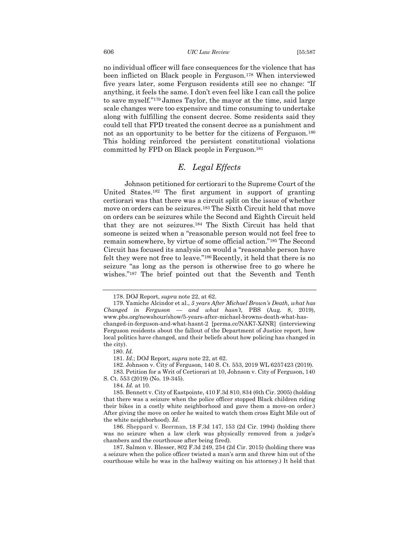#### 606 *UIC Law Review* [55:587

no individual officer will face consequences for the violence that has been inflicted on Black people in Ferguson.<sup>178</sup> When interviewed five years later, some Ferguson residents still see no change: "If anything, it feels the same. I don't even feel like I can call the police to save myself."<sup>179</sup> James Taylor, the mayor at the time, said large scale changes were too expensive and time consuming to undertake along with fulfilling the consent decree. Some residents said they could tell that FPD treated the consent decree as a punishment and not as an opportunity to be better for the citizens of Ferguson.<sup>180</sup> This holding reinforced the persistent constitutional violations committed by FPD on Black people in Ferguson.<sup>181</sup>

# <span id="page-20-0"></span>*E. Legal Effects*

Johnson petitioned for certiorari to the Supreme Court of the United States.<sup>182</sup> The first argument in support of granting certiorari was that there was a circuit split on the issue of whether move on orders can be seizures.<sup>183</sup> The Sixth Circuit held that move on orders can be seizures while the Second and Eighth Circuit held that they are not seizures.<sup>184</sup> The Sixth Circuit has held that someone is seized when a "reasonable person would not feel free to remain somewhere, by virtue of some official action."<sup>185</sup> The Second Circuit has focused its analysis on would a "reasonable person have felt they were not free to leave."<sup>186</sup> Recently, it held that there is no seizure "as long as the person is otherwise free to go where he wishes."<sup>187</sup> The brief pointed out that the Seventh and Tenth

<sup>178.</sup> DOJ Report, *supra* note 22, at 62.

<sup>179.</sup> Yamiche Alcindor et al., *5 years After Michael Brown's Death, what has Changed in Ferguson — and what hasn't,* PBS (Aug. 8, 2019), www.pbs.org/newshour/show/5-years-after-michael-browns-death-what-haschanged-in-ferguson-and-what-hasnt-2 [perma.cc/NAK7-XJNR] (interviewing Ferguson residents about the fallout of the Department of Justice report, how local politics have changed, and their beliefs about how policing has changed in the city).

<sup>180.</sup> *Id.*

<sup>181.</sup> *Id.*; DOJ Report, *supra* note 22, at 62.

<sup>182.</sup> Johnson v. City of Ferguson, 140 S. Ct. 553, 2019 WL 6257423 (2019).

<sup>183.</sup> Petition for a Writ of Certiorari at 10, Johnson v. City of Ferguson, 140 S. Ct. 553 (2019) (No. 19-345).

<sup>184.</sup> *Id.* at 10.

<sup>185.</sup> Bennett v. City of Eastpointe, 410 F.3d 810, 834 (6th Cir. 2005) (holding that there was a seizure when the police officer stopped Black children riding their bikes in a costly white neighborhood and gave them a move-on order.) After giving the move on order he waited to watch them cross Eight Mile out of the white neighborhood). *Id*.

<sup>186.</sup> Sheppard v. Beerman, 18 F.3d 147, 153 (2d Cir. 1994) (holding there was no seizure when a law clerk was physically removed from a judge's chambers and the courthouse after being fired).

<sup>187.</sup> Salmon v. Blesser, 802 F.3d 249, 254 (2d Cir. 2015) (holding there was a seizure when the police officer twisted a man's arm and threw him out of the courthouse while he was in the hallway waiting on his attorney.) It held that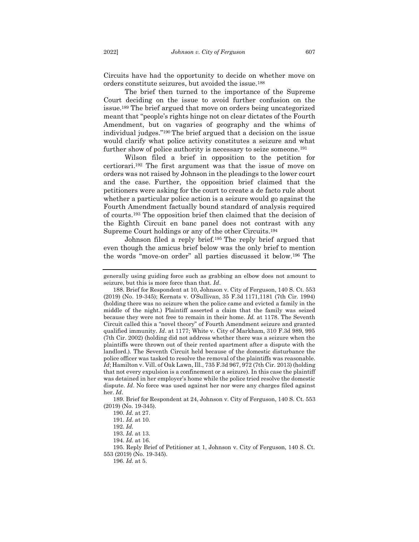Circuits have had the opportunity to decide on whether move on orders constitute seizures, but avoided the issue.<sup>188</sup>

The brief then turned to the importance of the Supreme Court deciding on the issue to avoid further confusion on the issue.<sup>189</sup> The brief argued that move on orders being uncategorized meant that "people's rights hinge not on clear dictates of the Fourth Amendment, but on vagaries of geography and the whims of individual judges."<sup>190</sup> The brief argued that a decision on the issue would clarify what police activity constitutes a seizure and what further show of police authority is necessary to seize someone.<sup>191</sup>

Wilson filed a brief in opposition to the petition for certiorari.<sup>192</sup> The first argument was that the issue of move on orders was not raised by Johnson in the pleadings to the lower court and the case. Further, the opposition brief claimed that the petitioners were asking for the court to create a de facto rule about whether a particular police action is a seizure would go against the Fourth Amendment factually bound standard of analysis required of courts.<sup>193</sup> The opposition brief then claimed that the decision of the Eighth Circuit en banc panel does not contrast with any Supreme Court holdings or any of the other Circuits.<sup>194</sup>

Johnson filed a reply brief.<sup>195</sup> The reply brief argued that even though the amicus brief below was the only brief to mention the words "move-on order" all parties discussed it below.<sup>196</sup> The

189. Brief for Respondent at 24, Johnson v. City of Ferguson, 140 S. Ct. 553 (2019) (No. 19-345).

195. Reply Brief of Petitioner at 1, Johnson v. City of Ferguson, 140 S. Ct. 553 (2019) (No. 19-345).

generally using guiding force such as grabbing an elbow does not amount to seizure, but this is more force than that. *Id*.

<sup>188.</sup> Brief for Respondent at 10, Johnson v. City of Ferguson, 140 S. Ct. 553 (2019) (No. 19-345); Kernats v. O'Sullivan, 35 F.3d 1171,1181 (7th Cir. 1994) (holding there was no seizure when the police came and evicted a family in the middle of the night.) Plaintiff asserted a claim that the family was seized because they were not free to remain in their home. *Id.* at 1178. The Seventh Circuit called this a "novel theory" of Fourth Amendment seizure and granted qualified immunity. *Id*. at 1177; White v. City of Markham, 310 F.3d 989, 995 (7th Cir. 2002) (holding did not address whether there was a seizure when the plaintiffs were thrown out of their rented apartment after a dispute with the landlord.). The Seventh Circuit held because of the domestic disturbance the police officer was tasked to resolve the removal of the plaintiffs was reasonable. *Id*; Hamilton v. Vill. of Oak Lawn, Ill., 735 F.3d 967, 972 (7th Cir. 2013) (holding that not every expulsion is a confinement or a seizure). In this case the plaintiff was detained in her employer's home while the police tried resolve the domestic dispute. *Id*. No force was used against her nor were any charges filed against her. *Id*.

<sup>190.</sup> *Id.* at 27.

<sup>191.</sup> *Id.* at 10.

<sup>192.</sup> *Id.*

<sup>193.</sup> *Id.* at 13.

<sup>194.</sup> *Id.* at 16.

<sup>196.</sup> *Id.* at 5.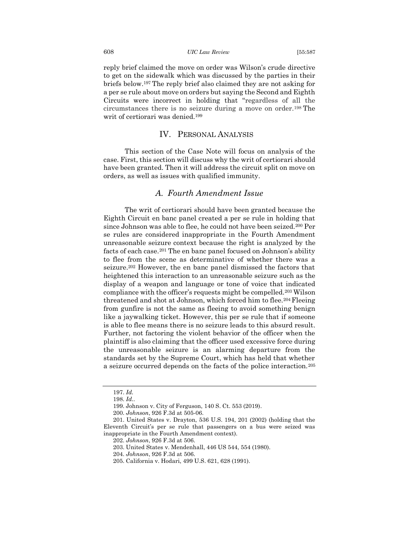#### 608 *UIC Law Review* [55:587

reply brief claimed the move on order was Wilson's crude directive to get on the sidewalk which was discussed by the parties in their briefs below.<sup>197</sup> The reply brief also claimed they are not asking for a per se rule about move on orders but saying the Second and Eighth Circuits were incorrect in holding that "regardless of all the circumstances there is no seizure during a move on order.<sup>198</sup> The writ of certiorari was denied.<sup>199</sup>

#### IV. PERSONAL ANALYSIS

<span id="page-22-0"></span>This section of the Case Note will focus on analysis of the case. First, this section will discuss why the writ of certiorari should have been granted. Then it will address the circuit split on move on orders, as well as issues with qualified immunity.

## *A. Fourth Amendment Issue*

<span id="page-22-1"></span>The writ of certiorari should have been granted because the Eighth Circuit en banc panel created a per se rule in holding that since Johnson was able to flee, he could not have been seized.<sup>200</sup> Per se rules are considered inappropriate in the Fourth Amendment unreasonable seizure context because the right is analyzed by the facts of each case.<sup>201</sup> The en banc panel focused on Johnson's ability to flee from the scene as determinative of whether there was a seizure.<sup>202</sup> However, the en banc panel dismissed the factors that heightened this interaction to an unreasonable seizure such as the display of a weapon and language or tone of voice that indicated compliance with the officer's requests might be compelled.<sup>203</sup> Wilson threatened and shot at Johnson, which forced him to flee.<sup>204</sup> Fleeing from gunfire is not the same as fleeing to avoid something benign like a jaywalking ticket. However, this per se rule that if someone is able to flee means there is no seizure leads to this absurd result. Further, not factoring the violent behavior of the officer when the plaintiff is also claiming that the officer used excessive force during the unreasonable seizure is an alarming departure from the standards set by the Supreme Court, which has held that whether a seizure occurred depends on the facts of the police interaction.<sup>205</sup>

<sup>197.</sup> *Id.*

<sup>198.</sup> *Id.*.

<sup>199.</sup> Johnson v. City of Ferguson, 140 S. Ct. 553 (2019).

<sup>200.</sup> *Johnson*, 926 F.3d at 505-06.

<sup>201.</sup> United States v. Drayton, 536 U.S. 194, 201 (2002) (holding that the Eleventh Circuit's per se rule that passengers on a bus were seized was inappropriate in the Fourth Amendment context).

<sup>202.</sup> *Johnson*, 926 F.3d at 506.

<sup>203.</sup> United States v. Mendenhall, 446 US 544, 554 (1980).

<sup>204.</sup> *Johnson*, 926 F.3d at 506.

<sup>205.</sup> California v. Hodari, 499 U.S. 621, 628 (1991).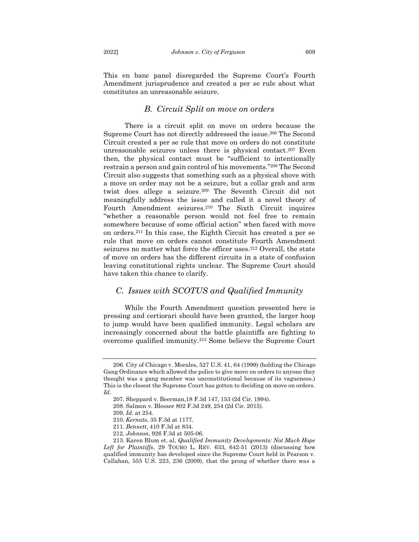This en banc panel disregarded the Supreme Court's Fourth Amendment jurisprudence and created a per se rule about what constitutes an unreasonable seizure.

## *B. Circuit Split on move on orders*

<span id="page-23-0"></span>There is a circuit split on move on orders because the Supreme Court has not directly addressed the issue.<sup>206</sup> The Second Circuit created a per se rule that move on orders do not constitute unreasonable seizures unless there is physical contact.<sup>207</sup> Even then, the physical contact must be "sufficient to intentionally restrain a person and gain control of his movements."<sup>208</sup> The Second Circuit also suggests that something such as a physical shove with a move on order may not be a seizure, but a collar grab and arm twist does allege a seizure.<sup>209</sup> The Seventh Circuit did not meaningfully address the issue and called it a novel theory of Fourth Amendment seizures.<sup>210</sup> The Sixth Circuit inquires "whether a reasonable person would not feel free to remain somewhere because of some official action" when faced with move on orders.<sup>211</sup> In this case, the Eighth Circuit has created a per se rule that move on orders cannot constitute Fourth Amendment seizures no matter what force the officer uses.<sup>212</sup> Overall, the state of move on orders has the different circuits in a state of confusion leaving constitutional rights unclear. The Supreme Court should have taken this chance to clarify.

#### <span id="page-23-1"></span>*C. Issues with SCOTUS and Qualified Immunity*

While the Fourth Amendment question presented here is pressing and certiorari should have been granted, the larger hoop to jump would have been qualified immunity. Legal scholars are increasingly concerned about the battle plaintiffs are fighting to overcome qualified immunity.<sup>213</sup> Some believe the Supreme Court

<sup>206.</sup> City of Chicago v. Morales, 527 U.S. 41, 64 (1999) (holding the Chicago Gang Ordinance which allowed the police to give move on orders to anyone they thought was a gang member was unconstitutional because of its vagueness.) This is the closest the Supreme Court has gotten to deciding on move on orders. *Id*.

<sup>207.</sup> Sheppard v. Beerman,18 F.3d 147, 153 (2d Cir. 1994).

<sup>208.</sup> Salmon v. Blesser 802 F.3d 249, 254 (2d Cir. 2015).

<sup>209.</sup> *Id.* at 254.

<sup>210.</sup> *Kernats*, 35 F.3d at 1177.

<sup>211.</sup> *Bennett*, 410 F.3d at 834.

<sup>212.</sup> *Johnson*, 926 F.3d at 505-06.

<sup>213.</sup> Karen Blum et. al, *Qualified Immunity Developments: Not Much Hope Left for Plaintiffs*, 29 TOURO L. REV. 633, 642-51 (2013) (discussing how qualified immunity has developed since the Supreme Court held in Pearson v. Callahan, 555 U.S. 223, 236 (2009), that the prong of whether there was a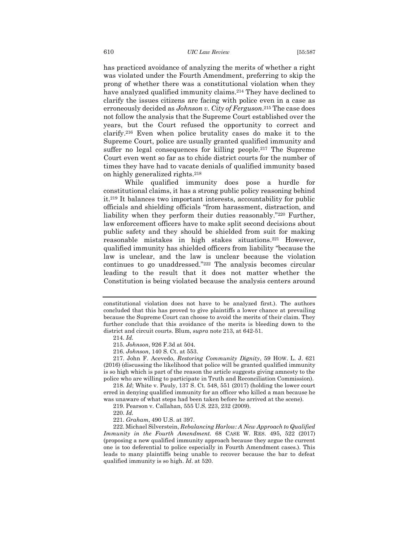has practiced avoidance of analyzing the merits of whether a right was violated under the Fourth Amendment, preferring to skip the prong of whether there was a constitutional violation when they have analyzed qualified immunity claims.<sup>214</sup> They have declined to clarify the issues citizens are facing with police even in a case as erroneously decided as *Johnson v. City of Ferguson*. <sup>215</sup> The case does not follow the analysis that the Supreme Court established over the years, but the Court refused the opportunity to correct and clarify.<sup>216</sup> Even when police brutality cases do make it to the Supreme Court, police are usually granted qualified immunity and suffer no legal consequences for killing people.<sup>217</sup> The Supreme Court even went so far as to chide district courts for the number of times they have had to vacate denials of qualified immunity based on highly generalized rights.<sup>218</sup>

While qualified immunity does pose a hurdle for constitutional claims, it has a strong public policy reasoning behind it.<sup>219</sup> It balances two important interests, accountability for public officials and shielding officials "from harassment, distraction, and liability when they perform their duties reasonably."<sup>220</sup> Further, law enforcement officers have to make split second decisions about public safety and they should be shielded from suit for making reasonable mistakes in high stakes situations.<sup>221</sup> However, qualified immunity has shielded officers from liability "because the law is unclear, and the law is unclear because the violation continues to go unaddressed."<sup>222</sup> The analysis becomes circular leading to the result that it does not matter whether the Constitution is being violated because the analysis centers around

constitutional violation does not have to be analyzed first.). The authors concluded that this has proved to give plaintiffs a lower chance at prevailing because the Supreme Court can choose to avoid the merits of their claim. They further conclude that this avoidance of the merits is bleeding down to the district and circuit courts. Blum, *supra* note 213, at 642-51.

<sup>214.</sup> *Id.*

<sup>215.</sup> *Johnson*, 926 F.3d at 504.

<sup>216.</sup> *Johnson*, 140 S. Ct. at 553.

<sup>217.</sup> John F. Acevedo, *Restoring Community Dignity*, 59 HOW. L. J. 621 (2016) (discussing the likelihood that police will be granted qualified immunity is so high which is part of the reason the article suggests giving amnesty to the police who are willing to participate in Truth and Reconciliation Commission).

<sup>218.</sup> *Id*; White v. Pauly, 137 S. Ct. 548, 551 (2017) (holding the lower court erred in denying qualified immunity for an officer who killed a man because he was unaware of what steps had been taken before he arrived at the scene).

<sup>219.</sup> Pearson v. Callahan, 555 U.S. 223, 232 (2009).

<sup>220.</sup> *Id.*

<sup>221.</sup> *Graham*, 490 U.S. at 397.

<sup>222.</sup> Michael Silverstein, *Rebalancing Harlow: A New Approach to Qualified Immunity in the Fourth Amendment.* 68 CASE W. RES. 495, 522 (2017) (proposing a new qualified immunity approach because they argue the current one is too deferential to police especially in Fourth Amendment cases.). This leads to many plaintiffs being unable to recover because the bar to defeat qualified immunity is so high. *Id*. at 520.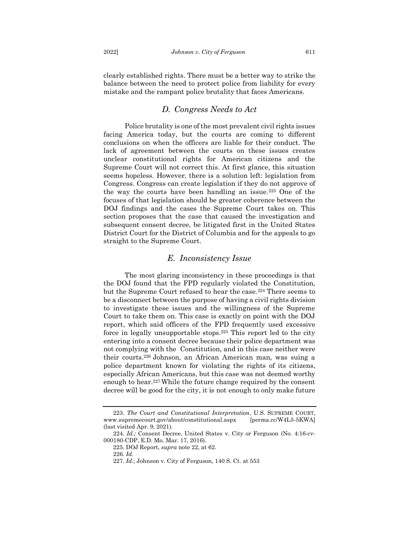clearly established rights. There must be a better way to strike the balance between the need to protect police from liability for every mistake and the rampant police brutality that faces Americans.

## *D. Congress Needs to Act*

<span id="page-25-0"></span>Police brutality is one of the most prevalent civil rights issues facing America today, but the courts are coming to different conclusions on when the officers are liable for their conduct. The lack of agreement between the courts on these issues creates unclear constitutional rights for American citizens and the Supreme Court will not correct this. At first glance, this situation seems hopeless. However, there is a solution left: legislation from Congress. Congress can create legislation if they do not approve of the way the courts have been handling an issue.<sup>223</sup> One of the focuses of that legislation should be greater coherence between the DOJ findings and the cases the Supreme Court takes on. This section proposes that the case that caused the investigation and subsequent consent decree, be litigated first in the United States District Court for the District of Columbia and for the appeals to go straight to the Supreme Court.

#### *E. Inconsistency Issue*

<span id="page-25-1"></span>The most glaring inconsistency in these proceedings is that the DOJ found that the FPD regularly violated the Constitution, but the Supreme Court refused to hear the case.<sup>224</sup> There seems to be a disconnect between the purpose of having a civil rights division to investigate these issues and the willingness of the Supreme Court to take them on. This case is exactly on point with the DOJ report, which said officers of the FPD frequently used excessive force in legally unsupportable stops.<sup>225</sup> This report led to the city entering into a consent decree because their police department was not complying with the Constitution, and in this case neither were their courts.<sup>226</sup> Johnson, an African American man, was suing a police department known for violating the rights of its citizens, especially African Americans, but this case was not deemed worthy enough to hear.<sup>227</sup> While the future change required by the consent decree will be good for the city, it is not enough to only make future

<sup>223.</sup> *The Court and Constitutional Interpretation*, U.S. SUPREME COURT, www.supremecourt.gov/about/constitutional.aspx [perma.cc/W4L5-5KWA] (last visited Apr. 9, 2021).

<sup>224.</sup> *Id.;* Consent Decree, United States v. City or Ferguson (No. 4:16-cv-000180-CDP, E.D. Mo. Mar. 17, 2016).

<sup>225.</sup> DOJ Report, *supra* note 22, at 62.

<sup>226.</sup> *Id.*

<sup>227.</sup> *Id.*; Johnson v. City of Ferguson, 140 S. Ct. at 553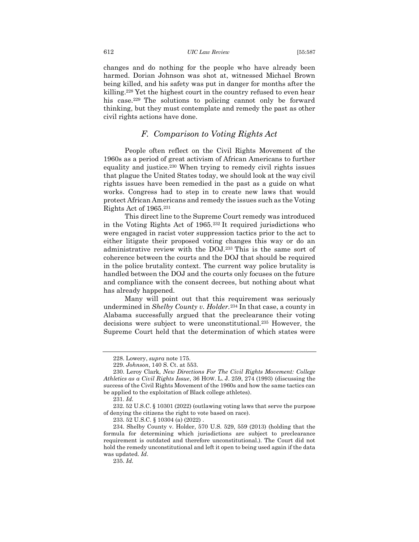changes and do nothing for the people who have already been harmed. Dorian Johnson was shot at, witnessed Michael Brown being killed, and his safety was put in danger for months after the killing.<sup>228</sup> Yet the highest court in the country refused to even hear his case.<sup>229</sup> The solutions to policing cannot only be forward thinking, but they must contemplate and remedy the past as other civil rights actions have done.

## *F. Comparison to Voting Rights Act*

<span id="page-26-0"></span>People often reflect on the Civil Rights Movement of the 1960s as a period of great activism of African Americans to further equality and justice.<sup>230</sup> When trying to remedy civil rights issues that plague the United States today, we should look at the way civil rights issues have been remedied in the past as a guide on what works. Congress had to step in to create new laws that would protect African Americans and remedy the issues such as the Voting Rights Act of 1965.<sup>231</sup>

This direct line to the Supreme Court remedy was introduced in the Voting Rights Act of 1965.<sup>232</sup> It required jurisdictions who were engaged in racist voter suppression tactics prior to the act to either litigate their proposed voting changes this way or do an administrative review with the DOJ.<sup>233</sup> This is the same sort of coherence between the courts and the DOJ that should be required in the police brutality context. The current way police brutality is handled between the DOJ and the courts only focuses on the future and compliance with the consent decrees, but nothing about what has already happened.

Many will point out that this requirement was seriously undermined in *Shelby County v. Holder.*<sup>234</sup> In that case, a county in Alabama successfully argued that the preclearance their voting decisions were subject to were unconstitutional.<sup>235</sup> However, the Supreme Court held that the determination of which states were

<sup>228.</sup> Lowery, *supra* note 175.

<sup>229.</sup> *Johnson*, 140 S. Ct. at 553.

<sup>230.</sup> Leroy Clark, *New Directions For The Civil Rights Movement: College Athletics as a Civil Rights Issue*, 36 HOW. L. J. 259, 274 (1993) (discussing the success of the Civil Rights Movement of the 1960s and how the same tactics can be applied to the exploitation of Black college athletes).

<sup>231.</sup> *Id.*

<sup>232. 52</sup> U.S.C. § 10301 (2022) (outlawing voting laws that serve the purpose of denying the citizens the right to vote based on race).

<sup>233. 52</sup> U.S.C. § 10304 (a) (2022) .

<sup>234.</sup> Shelby County v. Holder, 570 U.S. 529, 559 (2013) (holding that the formula for determining which jurisdictions are subject to preclearance requirement is outdated and therefore unconstitutional.). The Court did not hold the remedy unconstitutional and left it open to being used again if the data was updated. *Id*.

<sup>235.</sup> *Id.*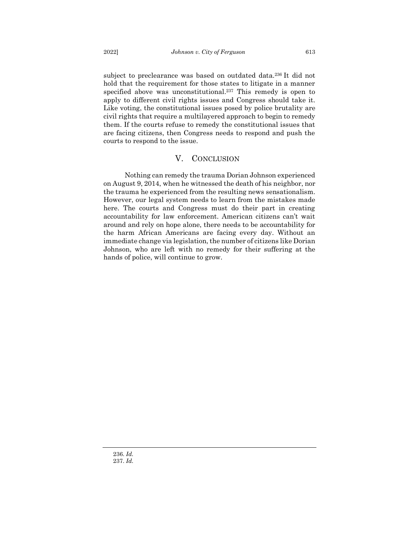subject to preclearance was based on outdated data.<sup>236</sup> It did not hold that the requirement for those states to litigate in a manner specified above was unconstitutional.<sup>237</sup> This remedy is open to apply to different civil rights issues and Congress should take it. Like voting, the constitutional issues posed by police brutality are civil rights that require a multilayered approach to begin to remedy them. If the courts refuse to remedy the constitutional issues that are facing citizens, then Congress needs to respond and push the courts to respond to the issue.

#### <span id="page-27-0"></span>V. CONCLUSION

Nothing can remedy the trauma Dorian Johnson experienced on August 9, 2014, when he witnessed the death of his neighbor, nor the trauma he experienced from the resulting news sensationalism. However, our legal system needs to learn from the mistakes made here. The courts and Congress must do their part in creating accountability for law enforcement. American citizens can't wait around and rely on hope alone, there needs to be accountability for the harm African Americans are facing every day. Without an immediate change via legislation, the number of citizens like Dorian Johnson, who are left with no remedy for their suffering at the hands of police, will continue to grow.

236. *Id.* 237. *Id.*